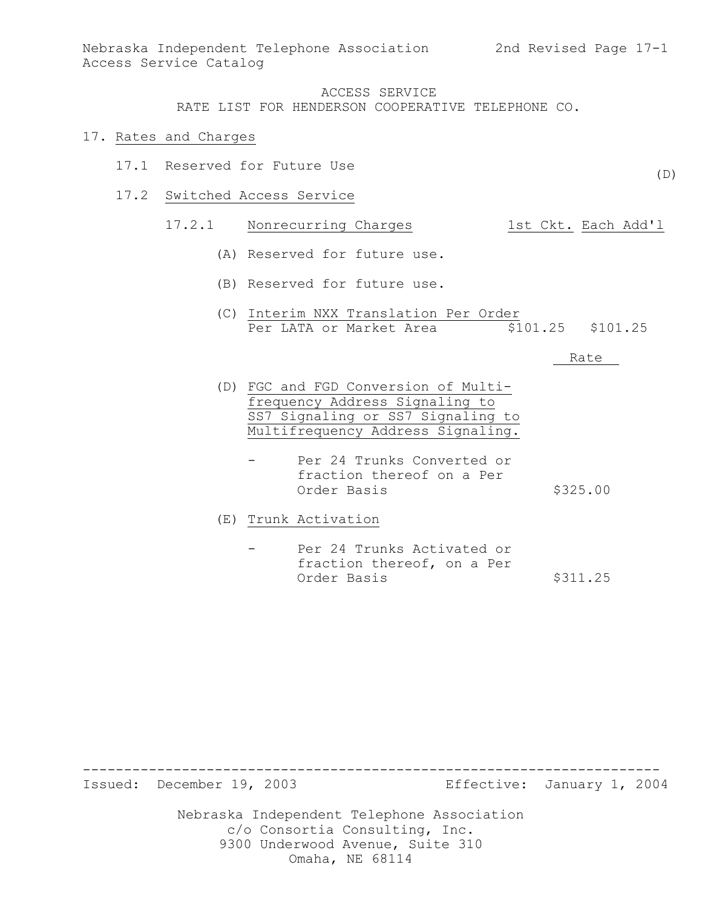RATE LIST FOR HENDERSON COOPERATIVE TELEPHONE CO.

#### 17. Rates and Charges

- 17.1 Reserved for Future Use
- 17.2 Switched Access Service

# 17.2.1 Nonrecurring Charges 1st Ckt. Each Add'l

- (A) Reserved for future use.
- (B) Reserved for future use.
- (C) Interim NXX Translation Per Order Per LATA or Market Area  $\overline{$}101.25$  \$101.25

Rate

- (D) FGC and FGD Conversion of Multifrequency Address Signaling to SS7 Signaling or SS7 Signaling to Multifrequency Address Signaling.
	- Per 24 Trunks Converted or fraction thereof on a Per Order Basis \$325.00
- (E) Trunk Activation
	- Per 24 Trunks Activated or fraction thereof, on a Per Order Basis \$311.25

----------------------------------------------------------------------

Issued: December 19, 2003 Effective: January 1, 2004

Nebraska Independent Telephone Association c/o Consortia Consulting, Inc. 9300 Underwood Avenue, Suite 310 Omaha, NE 68114

(D)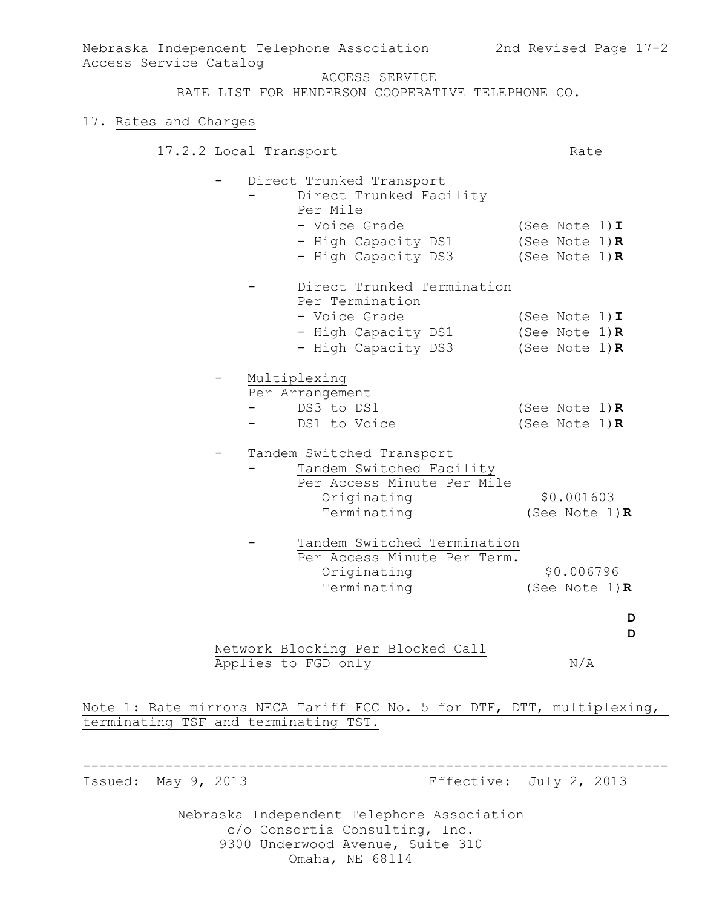RATE LIST FOR HENDERSON COOPERATIVE TELEPHONE CO.

#### 17. Rates and Charges

| 17.2.2 Local Transport                                                                                            | Rate                                                               |        |
|-------------------------------------------------------------------------------------------------------------------|--------------------------------------------------------------------|--------|
| Direct Trunked Transport<br>Direct Trunked Facility<br>Per Mile<br>- Voice Grade                                  | (See Note $1)$ I                                                   |        |
| - High Capacity DS1<br>- High Capacity DS3                                                                        | (See Note $1)$ R<br>(See Note $1)$ $\bf R$                         |        |
| Direct Trunked Termination<br>Per Termination<br>- Voice Grade<br>- High Capacity DS1<br>- High Capacity DS3      | (See Note $1)$ I<br>(See Note $1)$ $\mathbf R$<br>(See Note $1)$ R |        |
| Multiplexing<br>Per Arrangement<br>DS3 to DS1<br>DS1 to Voice                                                     | (See Note $1)$ R<br>(See Note $1)$ R                               |        |
| Tandem Switched Transport<br>Tandem Switched Facility<br>Per Access Minute Per Mile<br>Originating<br>Terminating | \$0.001603<br>(See Note $1)$ R                                     |        |
| Tandem Switched Termination<br>Per Access Minute Per Term.<br>Originating<br>Terminating                          | \$0.006796<br>(See Note $1)$ R                                     |        |
| Network Blocking Per Blocked Call<br>Applies to FGD only                                                          | N/A                                                                | D<br>D |
|                                                                                                                   |                                                                    |        |

Note 1: Rate mirrors NECA Tariff FCC No. 5 for DTF, DTT, multiplexing, terminating TSF and terminating TST.

-----------------------------------------------------------------------

Issued: May 9, 2013 Effective: July 2, 2013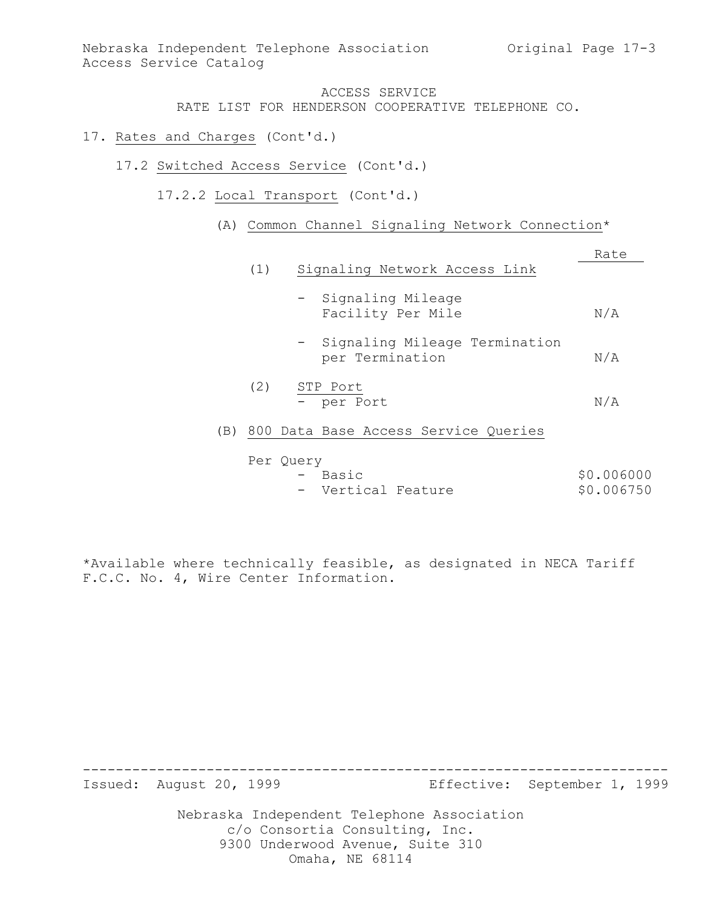RATE LIST FOR HENDERSON COOPERATIVE TELEPHONE CO.

- 17. Rates and Charges (Cont'd.)
	- 17.2 Switched Access Service (Cont'd.)
		- 17.2.2 Local Transport (Cont'd.)
			- (A) Common Channel Signaling Network Connection\*

|     |     |                                                    | Rate     |
|-----|-----|----------------------------------------------------|----------|
|     | (1) | Signaling Network Access Link                      |          |
|     |     | - Signaling Mileage<br>Facility Per Mile           | N/A      |
|     |     | - Signaling Mileage Termination<br>per Termination | N/A      |
|     | (2) | STP Port<br>- per Port                             | N/A      |
| (B) |     | 800 Data Base Access Service Queries               |          |
|     |     | Per Query<br>$\Box$ $\Box$ $\Box$                  | AN NURUL |

| - Basic            |  | \$0.006000 |
|--------------------|--|------------|
| - Vertical Feature |  | \$0.006750 |

\*Available where technically feasible, as designated in NECA Tariff F.C.C. No. 4, Wire Center Information.

Issued: August 20, 1999 Effective: September 1, 1999

Nebraska Independent Telephone Association c/o Consortia Consulting, Inc. 9300 Underwood Avenue, Suite 310 Omaha, NE 68114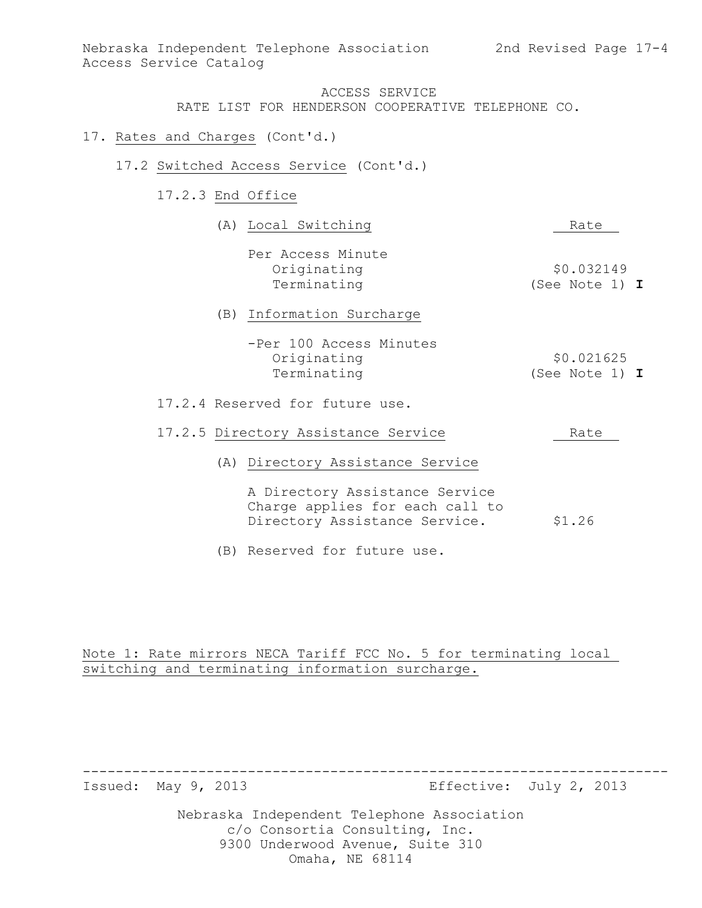- 17. Rates and Charges (Cont'd.)
	- 17.2 Switched Access Service (Cont'd.)
		- 17.2.3 End Office

| (A) Local Switching                                                                                | Rate                           |
|----------------------------------------------------------------------------------------------------|--------------------------------|
| Per Access Minute<br>Originating<br>Terminating                                                    | \$0.032149<br>(See Note 1) $I$ |
| (B) Information Surcharge                                                                          |                                |
| -Per 100 Access Minutes<br>Originating<br>Terminating                                              | \$0.021625<br>(See Note 1) $I$ |
| 17.2.4 Reserved for future use.                                                                    |                                |
| 17.2.5 Directory Assistance Service                                                                | Rate                           |
| (A) Directory Assistance Service                                                                   |                                |
| A Directory Assistance Service<br>Charge applies for each call to<br>Directory Assistance Service. | \$1.26                         |

(B) Reserved for future use.

# Note 1: Rate mirrors NECA Tariff FCC No. 5 for terminating local switching and terminating information surcharge.

Issued: May 9, 2013 **Effective:** July 2, 2013

Nebraska Independent Telephone Association c/o Consortia Consulting, Inc. 9300 Underwood Avenue, Suite 310 Omaha, NE 68114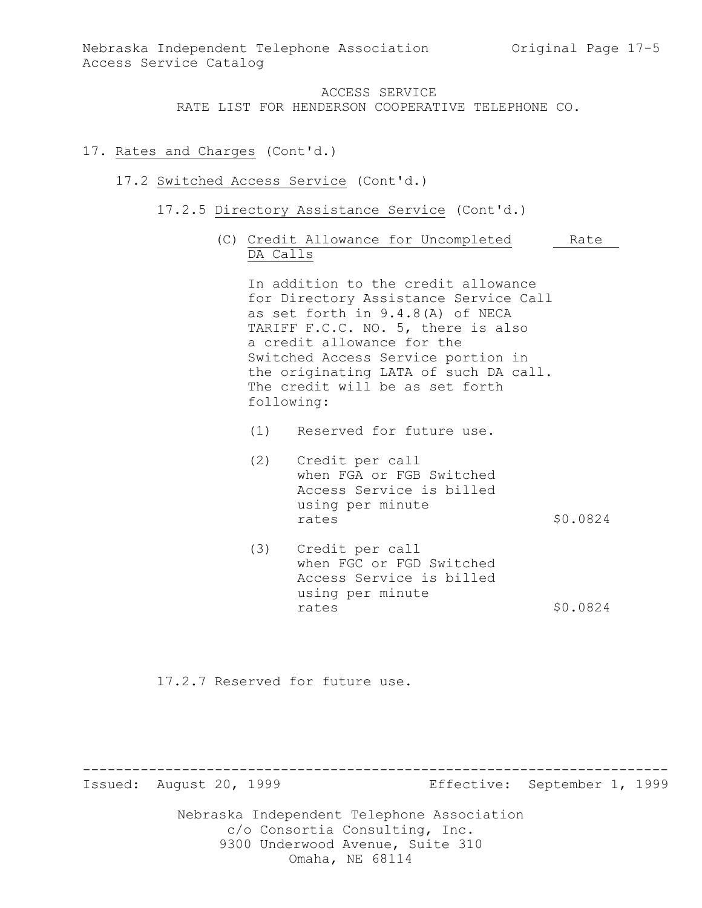### 17. Rates and Charges (Cont'd.)

#### 17.2 Switched Access Service (Cont'd.)

- 17.2.5 Directory Assistance Service (Cont'd.)
	- (C) Credit Allowance for Uncompleted Rate DA Calls

In addition to the credit allowance for Directory Assistance Service Call as set forth in 9.4.8(A) of NECA TARIFF F.C.C. NO. 5, there is also a credit allowance for the Switched Access Service portion in the originating LATA of such DA call. The credit will be as set forth following:

- (1) Reserved for future use.
- (2) Credit per call when FGA or FGB Switched Access Service is billed using per minute rates \$0.0824
- (3) Credit per call when FGC or FGD Switched Access Service is billed using per minute rates  $$0.0824$

17.2.7 Reserved for future use.

Issued: August 20, 1999 Effective: September 1, 1999

Nebraska Independent Telephone Association c/o Consortia Consulting, Inc. 9300 Underwood Avenue, Suite 310 Omaha, NE 68114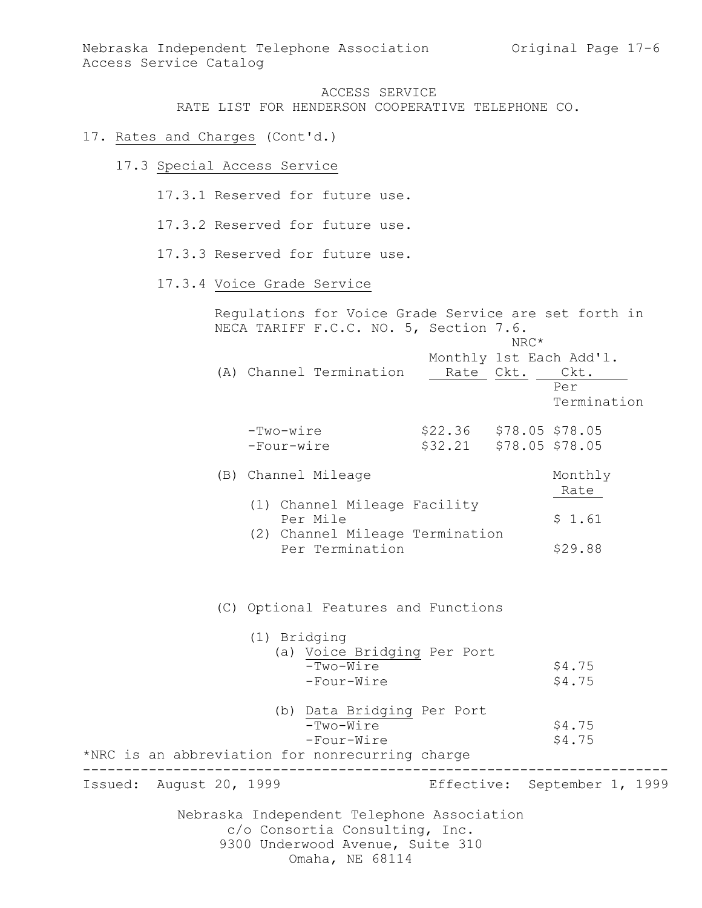#### 17. Rates and Charges (Cont'd.)

17.3 Special Access Service

17.3.1 Reserved for future use.

- 17.3.2 Reserved for future use.
- 17.3.3 Reserved for future use.

## 17.3.4 Voice Grade Service

Regulations for Voice Grade Service are set forth in NECA TARIFF F.C.C. NO. 5, Section 7.6. NRC\* Monthly 1st Each Add'l. (A) Channel Termination Rate Ckt. Ckt. Per Termination -Two-wire \$22.36 \$78.05 \$78.05 -Four-wire \$32.21 \$78.05 \$78.05 (B) Channel Mileage Monthly Rate (1) Channel Mileage Facility Per Mile  $\qquad \qquad$  \$ 1.61 (2) Channel Mileage Termination Per Termination \$29.88 (C) Optional Features and Functions

| (1) Bridging                                                                                                     |                                                 |
|------------------------------------------------------------------------------------------------------------------|-------------------------------------------------|
| $-Two-Wire$<br>-Four-Wire                                                                                        | (a) Voice Bridging Per Port<br>\$4.75<br>\$4.75 |
| $-Two-Wire$<br>-Four-Wire<br>*NRC is an abbreviation for nonrecurring charge                                     | (b) Data Bridging Per Port<br>\$4.75<br>\$4.75  |
| Issued: August 20, 1999                                                                                          | Effective: September 1, 1999                    |
| Nebraska Independent Telephone Association<br>c/o Consortia Consulting, Inc.<br>9300 Underwood Avenue, Suite 310 |                                                 |

Omaha, NE 68114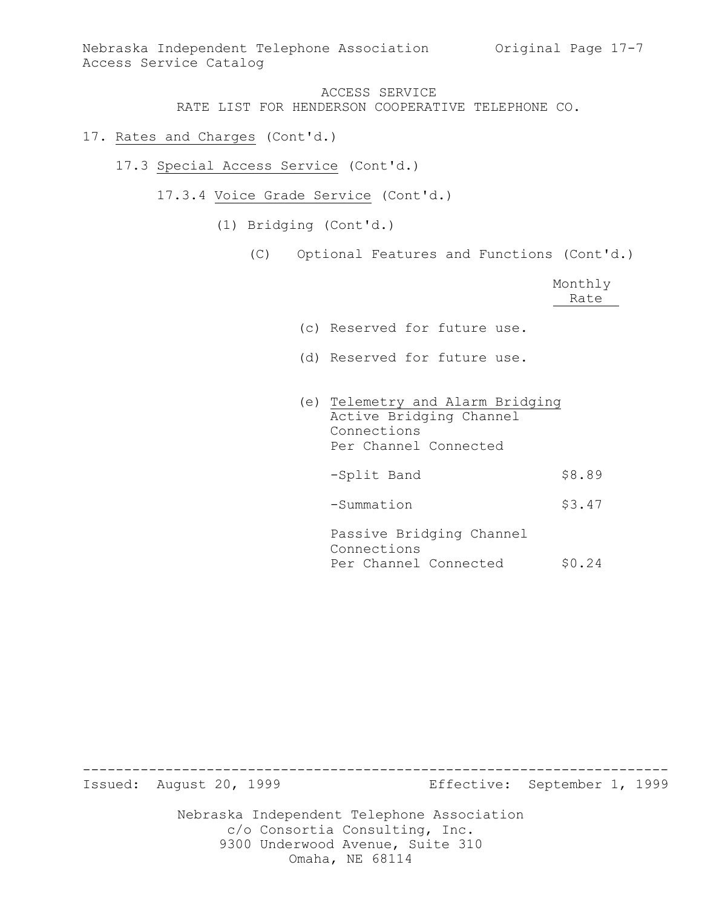## 17. Rates and Charges (Cont'd.)

- 17.3 Special Access Service (Cont'd.)
	- 17.3.4 Voice Grade Service (Cont'd.)
		- (1) Bridging (Cont'd.)
			- (C) Optional Features and Functions (Cont'd.)

|                                                                                                     | Monthly<br>Rate |
|-----------------------------------------------------------------------------------------------------|-----------------|
| (c) Reserved for future use.                                                                        |                 |
| (d) Reserved for future use.                                                                        |                 |
| (e) Telemetry and Alarm Bridging<br>Active Bridging Channel<br>Connections<br>Per Channel Connected |                 |
| -Split Band                                                                                         | \$8.89          |
| -Summation                                                                                          | \$3.47          |
| Passive Bridging Channel<br>Connections<br>Per Channel Connected                                    | \$0.24          |

Issued: August 20, 1999 Effective: September 1, 1999

Nebraska Independent Telephone Association c/o Consortia Consulting, Inc. 9300 Underwood Avenue, Suite 310 Omaha, NE 68114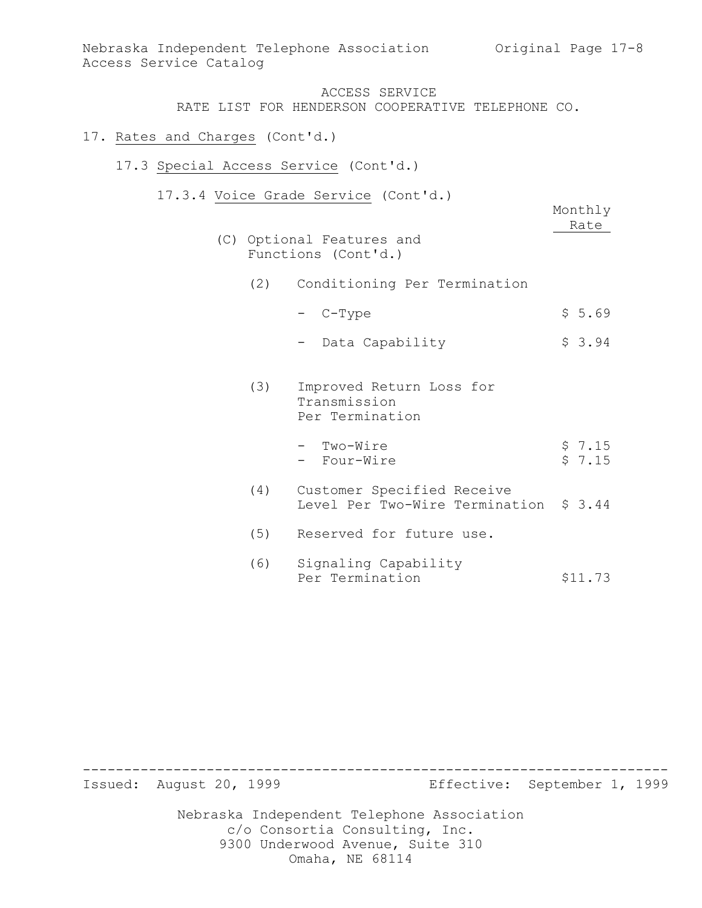### 17. Rates and Charges (Cont'd.)

- 17.3 Special Access Service (Cont'd.)
	- 17.3.4 Voice Grade Service (Cont'd.)

|     |                                                                      | Monthly<br>Rate  |
|-----|----------------------------------------------------------------------|------------------|
|     | (C) Optional Features and<br>Functions (Cont'd.)                     |                  |
|     | (2) Conditioning Per Termination                                     |                  |
|     | - C-Type                                                             | \$5.69           |
|     | - Data Capability                                                    | \$3.94           |
| (3) | Improved Return Loss for<br>Transmission<br>Per Termination          |                  |
|     | - Two-Wire<br>- Four-Wire                                            | \$7.15<br>\$7.15 |
| (4) | Customer Specified Receive<br>Level Per Two-Wire Termination \$ 3.44 |                  |
| (5) | Reserved for future use.                                             |                  |
| (6) | Signaling Capability<br>Per Termination                              | \$11.73          |

Issued: August 20, 1999 Effective: September 1, 1999

Nebraska Independent Telephone Association c/o Consortia Consulting, Inc. 9300 Underwood Avenue, Suite 310 Omaha, NE 68114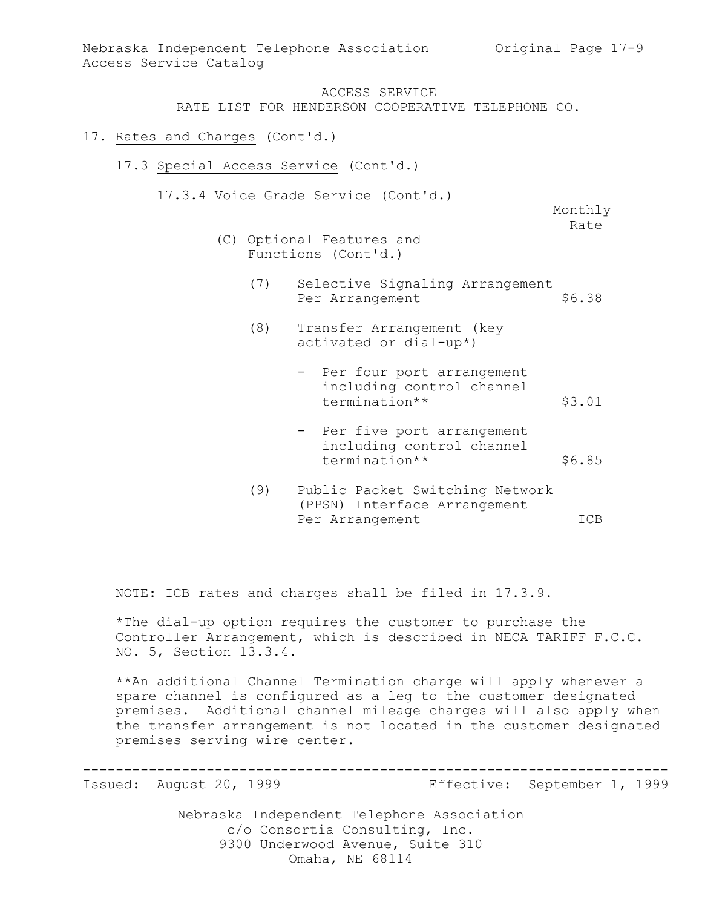#### 17. Rates and Charges (Cont'd.)

- 17.3 Special Access Service (Cont'd.)
	- 17.3.4 Voice Grade Service (Cont'd.)

Monthly Rate

- (C) Optional Features and Functions (Cont'd.)
	- (7) Selective Signaling Arrangement Per Arrangement \$6.38
	- (8) Transfer Arrangement (key activated or dial-up\*)
		- Per four port arrangement including control channel termination\*\* \$3.01
		- Per five port arrangement including control channel termination\*\* \$6.85
	- (9) Public Packet Switching Network (PPSN) Interface Arrangement Per Arrangement ICB

NOTE: ICB rates and charges shall be filed in 17.3.9.

\*The dial-up option requires the customer to purchase the Controller Arrangement, which is described in NECA TARIFF F.C.C. NO. 5, Section 13.3.4.

\*\*An additional Channel Termination charge will apply whenever a spare channel is configured as a leg to the customer designated premises. Additional channel mileage charges will also apply when the transfer arrangement is not located in the customer designated premises serving wire center.

-----------------------------------------------------------------------

Issued: August 20, 1999 Effective: September 1, 1999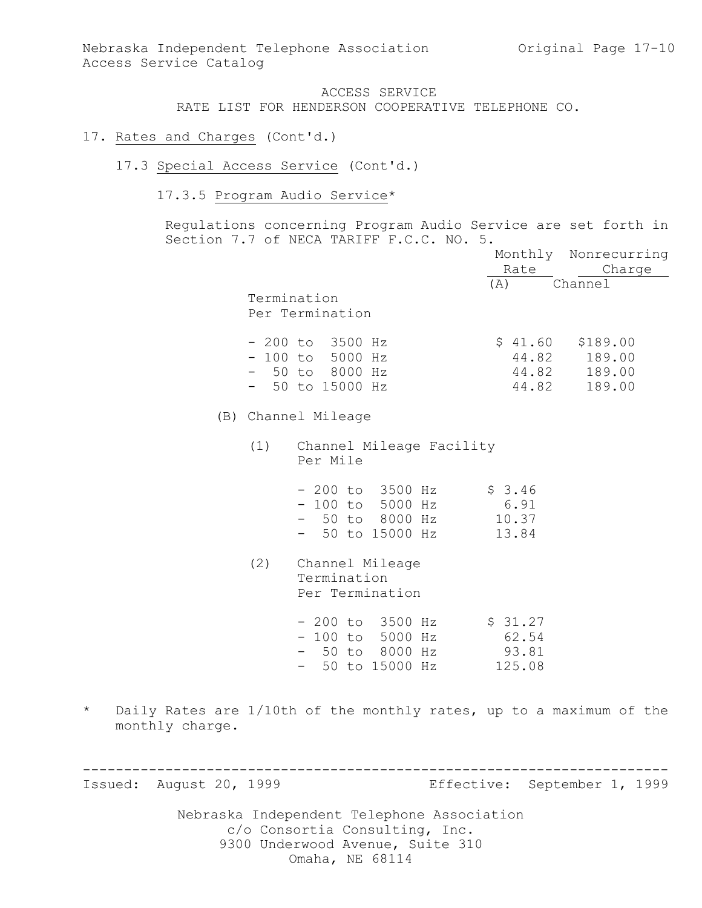#### 17. Rates and Charges (Cont'd.)

#### 17.3 Special Access Service (Cont'd.)

### 17.3.5 Program Audio Service\*

Regulations concerning Program Audio Service are set forth in Section 7.7 of NECA TARIFF F.C.C. NO. 5.

|     |                                                                                 |                                     | Monthly Nonrecurring                               |
|-----|---------------------------------------------------------------------------------|-------------------------------------|----------------------------------------------------|
|     |                                                                                 | Rate                                | Charge                                             |
|     | Termination<br>Per Termination                                                  | (A)                                 | Channel                                            |
|     | $-200$ to 3500 Hz<br>$-100$ to 5000 Hz<br>$-50$ to 8000 Hz<br>$-50$ to 15000 Hz | \$41.60<br>44.82                    | \$189.00<br>44.82 189.00<br>44.82 189.00<br>189.00 |
|     | (B) Channel Mileage                                                             |                                     |                                                    |
| (1) | Channel Mileage Facility<br>Per Mile                                            |                                     |                                                    |
|     | $-200$ to $3500$ Hz<br>- 100 to 5000 Hz<br>- 50 to 8000 Hz<br>- 50 to 15000 Hz  | \$3.46<br>6.91<br>10.37<br>13.84    |                                                    |
| (2) | Channel Mileage<br>Termination<br>Per Termination                               |                                     |                                                    |
|     | $-200$ to 3500 Hz<br>- 100 to 5000 Hz<br>- 50 to 8000 Hz<br>- 50 to 15000 Hz    | \$31.27<br>62.54<br>93.81<br>125.08 |                                                    |

\* Daily Rates are 1/10th of the monthly rates, up to a maximum of the monthly charge.

----------------------------------------------------------------------- Issued: August 20, 1999 Effective: September 1, 1999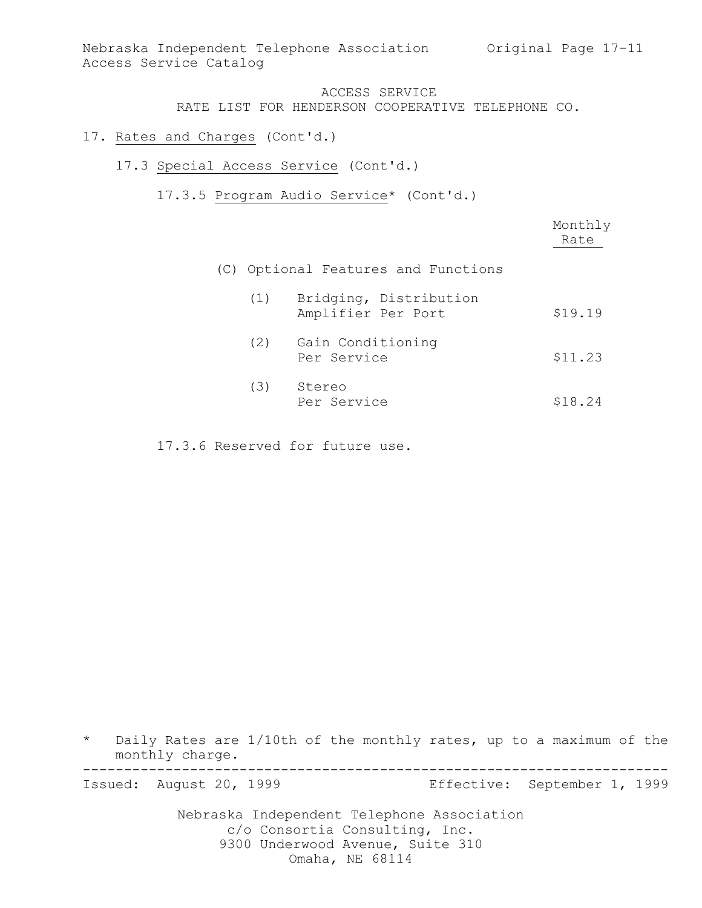Nebraska Independent Telephone Association Original Page 17-11 Access Service Catalog

#### ACCESS SERVICE RATE LIST FOR HENDERSON COOPERATIVE TELEPHONE CO.

# 17. Rates and Charges (Cont'd.)

- 17.3 Special Access Service (Cont'd.)
	- 17.3.5 Program Audio Service\* (Cont'd.)

|     |                                              | Monthly<br>Rate |
|-----|----------------------------------------------|-----------------|
|     | (C) Optional Features and Functions          |                 |
| (1) | Bridging, Distribution<br>Amplifier Per Port | \$19.19         |
| (2) | Gain Conditioning<br>Per Service             | \$11.23         |
| (3) | Stereo<br>Per Service                        | \$18.24         |

17.3.6 Reserved for future use.

\* Daily Rates are 1/10th of the monthly rates, up to a maximum of the monthly charge. -----------------------------------------------------------------------

Issued: August 20, 1999 Effective: September 1, 1999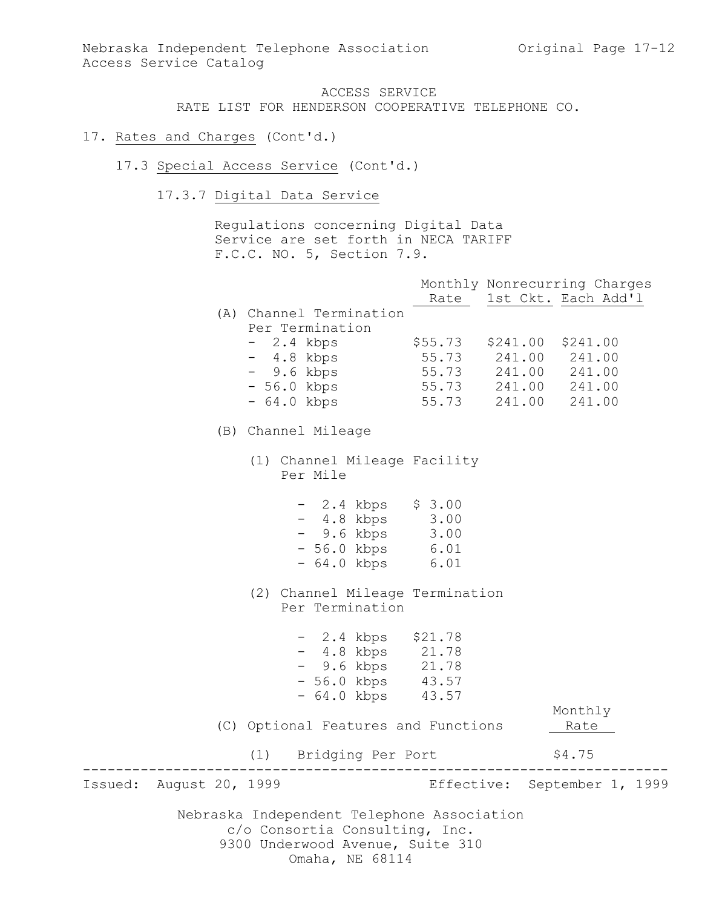#### 17. Rates and Charges (Cont'd.)

- 17.3 Special Access Service (Cont'd.)
	- 17.3.7 Digital Data Service

Regulations concerning Digital Data Service are set forth in NECA TARIFF F.C.C. NO. 5, Section 7.9.

|                         |                                                                                                                                     |                           | Monthly Nonrecurring Charges<br>Rate 1st Ckt. Each Add'l |  |
|-------------------------|-------------------------------------------------------------------------------------------------------------------------------------|---------------------------|----------------------------------------------------------|--|
|                         | (A) Channel Termination<br>Per Termination                                                                                          |                           |                                                          |  |
|                         | - 2.4 kbps                                                                                                                          | \$55.73 \$241.00 \$241.00 |                                                          |  |
|                         | - 4.8 kbps                                                                                                                          | 55.73 241.00 241.00       |                                                          |  |
|                         | - 9.6 kbps                                                                                                                          | 55.73 241.00 241.00       |                                                          |  |
|                         | - 56.0 kbps                                                                                                                         | 55.73 241.00 241.00       |                                                          |  |
|                         | - 64.0 kbps                                                                                                                         | 55.73                     | 241.00 241.00                                            |  |
|                         | (B) Channel Mileage                                                                                                                 |                           |                                                          |  |
|                         | (1) Channel Mileage Facility<br>Per Mile                                                                                            |                           |                                                          |  |
|                         | $-2.4$ kbps $$3.00$<br>- 4.8 kbps 3.00                                                                                              |                           |                                                          |  |
|                         | $-9.6 \text{ kbps}$ 3.00                                                                                                            |                           |                                                          |  |
|                         | - 56.0 kbps 6.01<br>- 64.0 kbps 6.01                                                                                                |                           |                                                          |  |
|                         |                                                                                                                                     |                           |                                                          |  |
|                         | (2) Channel Mileage Termination<br>Per Termination                                                                                  |                           |                                                          |  |
|                         | $-2.4$ kbps $$21.78$                                                                                                                |                           |                                                          |  |
|                         |                                                                                                                                     |                           |                                                          |  |
|                         | - 4.8 kbps 21.78<br>- 9.6 kbps 21.78<br>- 56.0 kbps 43.57                                                                           |                           |                                                          |  |
|                         |                                                                                                                                     |                           |                                                          |  |
|                         | $-64.0$ kbps $43.57$                                                                                                                |                           |                                                          |  |
|                         |                                                                                                                                     |                           | Monthly                                                  |  |
|                         | (C) Optional Features and Functions                                                                                                 |                           | Rate                                                     |  |
|                         | (1) Bridging Per Port                                                                                                               |                           | \$4.75                                                   |  |
| Issued: August 20, 1999 |                                                                                                                                     |                           | Effective: September 1, 1999                             |  |
|                         | Nebraska Independent Telephone Association<br>c/o Consortia Consulting, Inc.<br>9300 Underwood Avenue, Suite 310<br>Omaha, NE 68114 |                           |                                                          |  |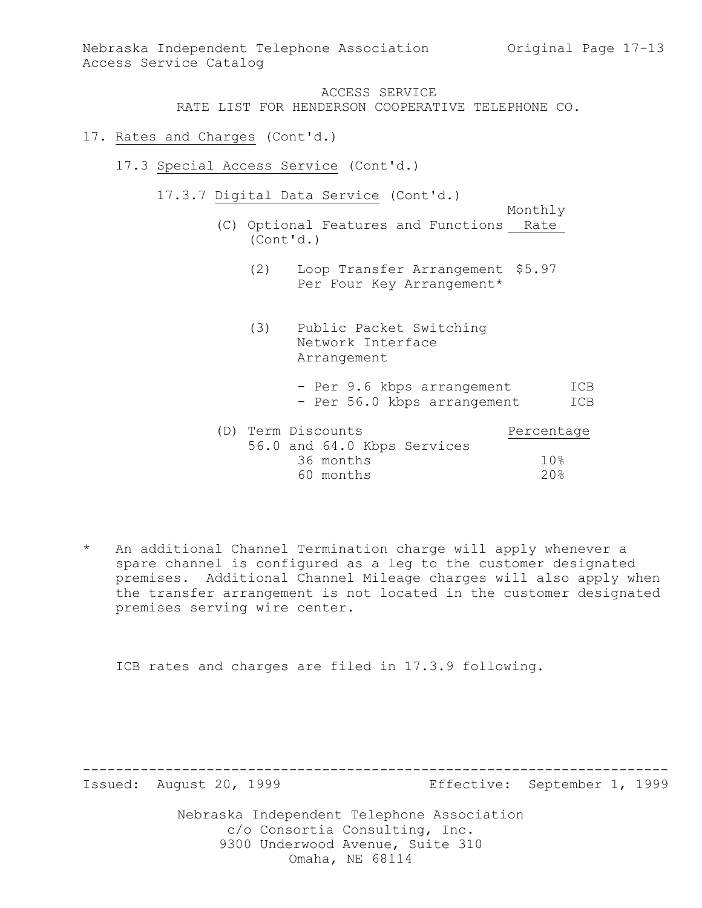Nebraska Independent Telephone Association Original Page 17-13 Access Service Catalog

#### ACCESS SERVICE

RATE LIST FOR HENDERSON COOPERATIVE TELEPHONE CO.

- 17. Rates and Charges (Cont'd.)
	- 17.3 Special Access Service (Cont'd.)
		- 17.3.7 Digital Data Service (Cont'd.)
			- Monthly (C) Optional Features and Functions Rate (Cont'd.)
				- (2) Loop Transfer Arrangement \$5.97 Per Four Key Arrangement\*
				- (3) Public Packet Switching Network Interface Arrangement
					- Per 9.6 kbps arrangement ICB - Per 56.0 kbps arrangement ICB

| (D) Term Discounts |           |                             | Percentage |
|--------------------|-----------|-----------------------------|------------|
|                    |           | 56.0 and 64.0 Kbps Services |            |
|                    | 36 months |                             | 10%        |
|                    | 60 months |                             | 20%        |

\* An additional Channel Termination charge will apply whenever a spare channel is configured as a leg to the customer designated premises. Additional Channel Mileage charges will also apply when the transfer arrangement is not located in the customer designated premises serving wire center.

ICB rates and charges are filed in 17.3.9 following.

Issued: August 20, 1999 Effective: September 1, 1999

Nebraska Independent Telephone Association c/o Consortia Consulting, Inc. 9300 Underwood Avenue, Suite 310 Omaha, NE 68114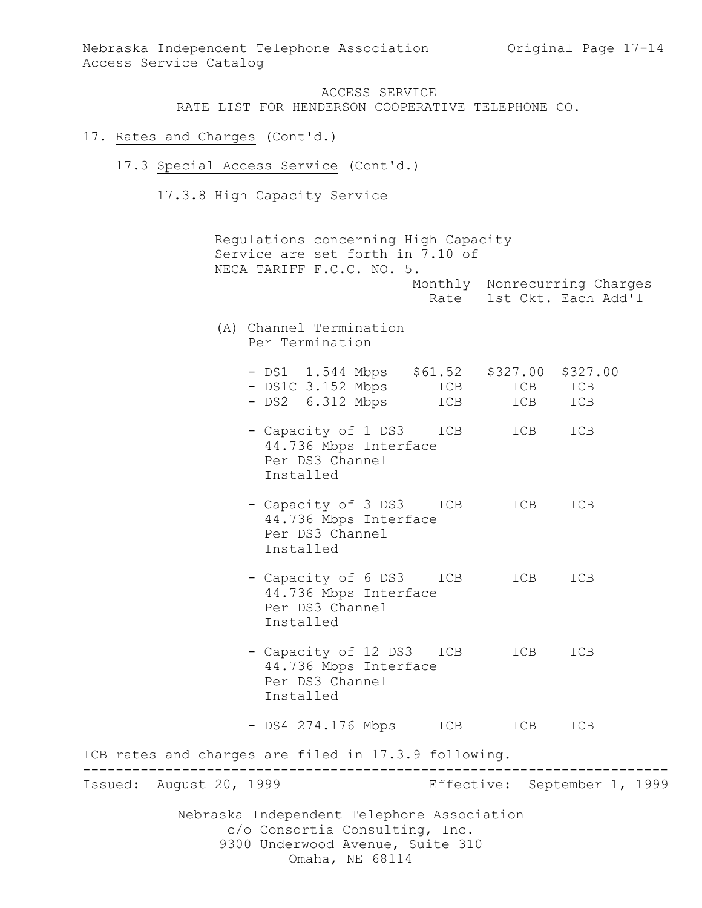#### 17. Rates and Charges (Cont'd.)

- 17.3 Special Access Service (Cont'd.)
	- 17.3.8 High Capacity Service

Nebraska Independent Telephone Association c/o Consortia Consulting, Inc. 9300 Underwood Avenue, Suite 310 Omaha, NE 68114 Regulations concerning High Capacity Service are set forth in 7.10 of NECA TARIFF F.C.C. NO. 5. Monthly Nonrecurring Charges Rate 1st Ckt. Each Add'1 (A) Channel Termination Per Termination - DS1 1.544 Mbps \$61.52 \$327.00 \$327.00 - DS1C 3.152 Mbps ICB ICB ICB - DS2 6.312 Mbps ICB ICB ICB - Capacity of 1 DS3 ICB ICB ICB 44.736 Mbps Interface Per DS3 Channel Installed - Capacity of 3 DS3 ICB ICB ICB 44.736 Mbps Interface Per DS3 Channel Installed - Capacity of 6 DS3 ICB ICB ICB 44.736 Mbps Interface Per DS3 Channel Installed - Capacity of 12 DS3 ICB ICB ICB 44.736 Mbps Interface Per DS3 Channel Installed - DS4 274.176 Mbps ICB ICB ICB ICB rates and charges are filed in 17.3.9 following. ----------------------------------------------------------------------- Issued: August 20, 1999 Effective: September 1, 1999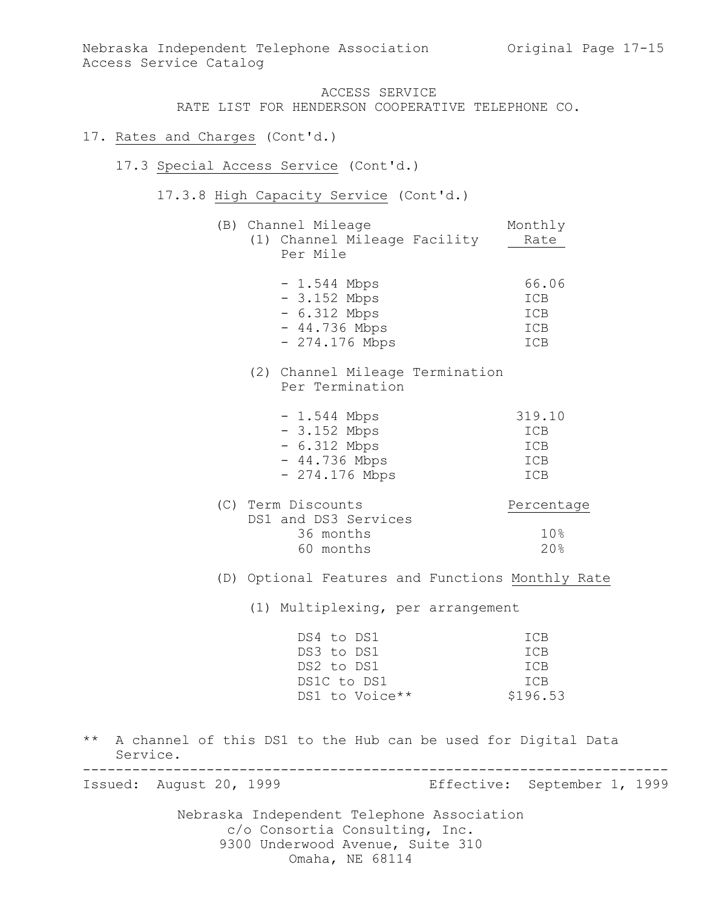Nebraska Independent Telephone Association Original Page 17-15 Access Service Catalog

## ACCESS SERVICE

RATE LIST FOR HENDERSON COOPERATIVE TELEPHONE CO.

- 17. Rates and Charges (Cont'd.)
	- 17.3 Special Access Service (Cont'd.)
		- 17.3.8 High Capacity Service (Cont'd.)
			- (B) Channel Mileage Monthly (1) Channel Mileage Facility Rate Per Mile

| $-1.544$ Mbps   | 66.06 |
|-----------------|-------|
| $-3.152$ Mbps   | ICB   |
| $-6.312$ Mbps   | ICB   |
| $-44.736$ Mbps  | ICB   |
| $-274.176$ Mbps | TCB   |

(2) Channel Mileage Termination Per Termination

| $-1.544$ Mbps   | 319.10     |
|-----------------|------------|
| $-3.152$ Mbps   | ICB        |
| $-6.312$ Mbps   | ICB        |
| $-44.736$ Mbps  | ICB        |
| $-274.176$ Mbps | <b>TCB</b> |

| Percentage |  |
|------------|--|
|            |  |
|            |  |
| 20%        |  |
|            |  |

(D) Optional Features and Functions Monthly Rate

(1) Multiplexing, per arrangement

| DS4 to DS1     | TCB        |
|----------------|------------|
| DS3 to DS1     | <b>TCB</b> |
| DS2 to DS1     | <b>TCB</b> |
| DS1C to DS1    | <b>TCB</b> |
| DS1 to Voice** | \$196.53   |

\*\* A channel of this DS1 to the Hub can be used for Digital Data Service. -----------------------------------------------------------------------

Nebraska Independent Telephone Association Issued: August 20, 1999 Effective: September 1, 1999

> c/o Consortia Consulting, Inc. 9300 Underwood Avenue, Suite 310 Omaha, NE 68114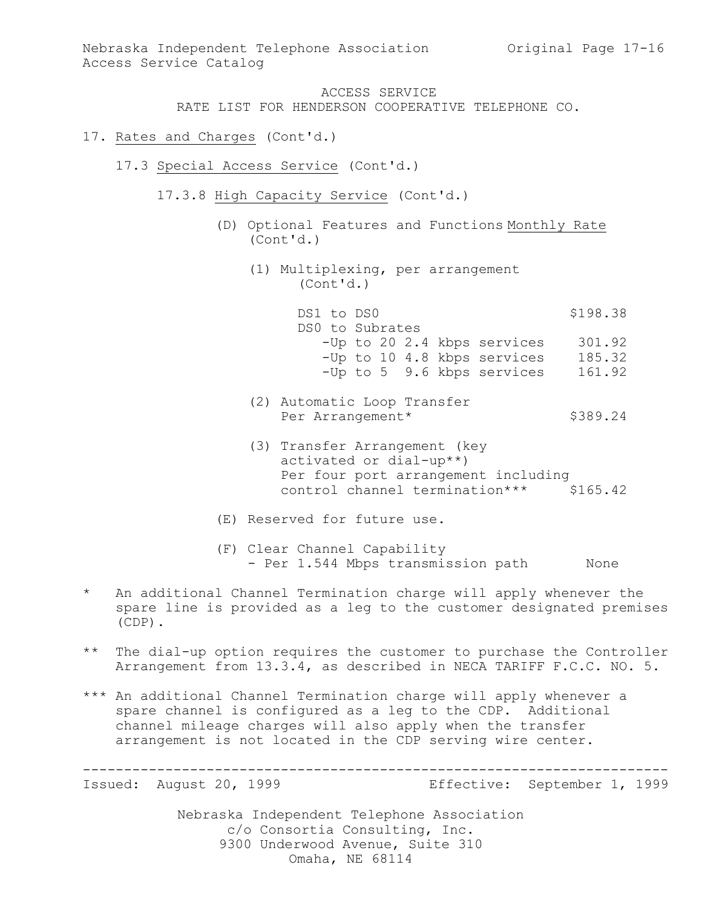RATE LIST FOR HENDERSON COOPERATIVE TELEPHONE CO.

- 17. Rates and Charges (Cont'd.)
	- 17.3 Special Access Service (Cont'd.)
		- 17.3.8 High Capacity Service (Cont'd.)
			- (D) Optional Features and Functions Monthly Rate (Cont'd.)
				- (1) Multiplexing, per arrangement (Cont'd.)

DS1 to DS0 \$198.38 DS0 to Subrates -Up to 20 2.4 kbps services 301.92 -Up to 10 4.8 kbps services 185.32 -Up to 5 9.6 kbps services 161.92

- (2) Automatic Loop Transfer Per Arrangement\* \$389.24
- (3) Transfer Arrangement (key activated or dial-up\*\*) Per four port arrangement including control channel termination\*\*\* \$165.42
- (E) Reserved for future use.
- (F) Clear Channel Capability - Per 1.544 Mbps transmission path None
- \* An additional Channel Termination charge will apply whenever the spare line is provided as a leg to the customer designated premises (CDP).
- \*\* The dial-up option requires the customer to purchase the Controller Arrangement from 13.3.4, as described in NECA TARIFF F.C.C. NO. 5.
- \*\*\* An additional Channel Termination charge will apply whenever a spare channel is configured as a leg to the CDP. Additional channel mileage charges will also apply when the transfer arrangement is not located in the CDP serving wire center.

----------------------------------------------------------------------- Issued: August 20, 1999 Effective: September 1, 1999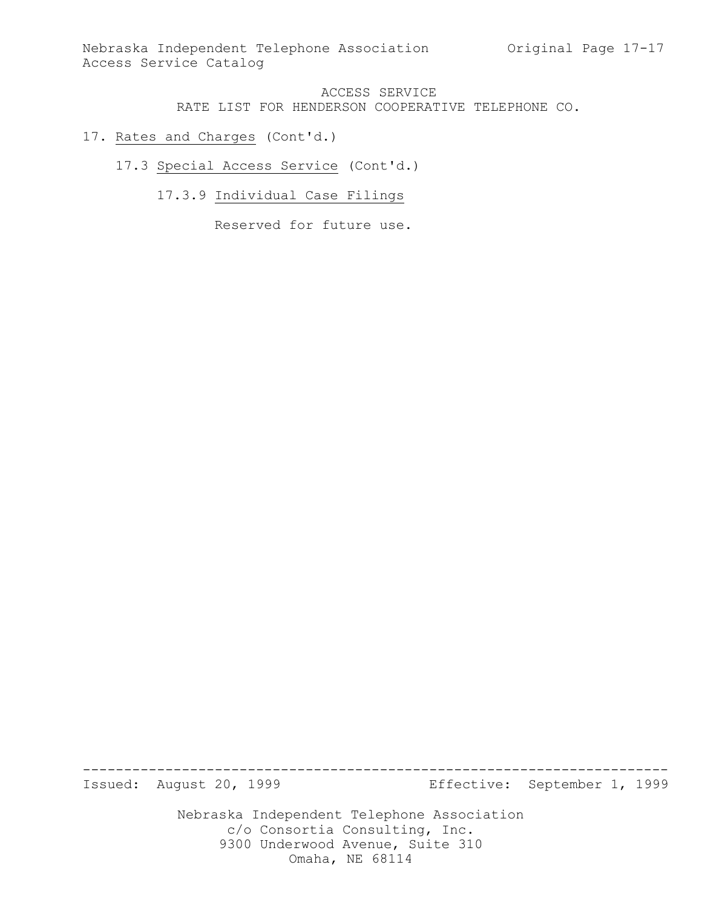Nebraska Independent Telephone Association Original Page 17-17 Access Service Catalog

## ACCESS SERVICE RATE LIST FOR HENDERSON COOPERATIVE TELEPHONE CO.

### 17. Rates and Charges (Cont'd.)

17.3 Special Access Service (Cont'd.)

17.3.9 Individual Case Filings

Reserved for future use.

Issued: August 20, 1999 Effective: September 1, 1999

Nebraska Independent Telephone Association c/o Consortia Consulting, Inc. 9300 Underwood Avenue, Suite 310 Omaha, NE 68114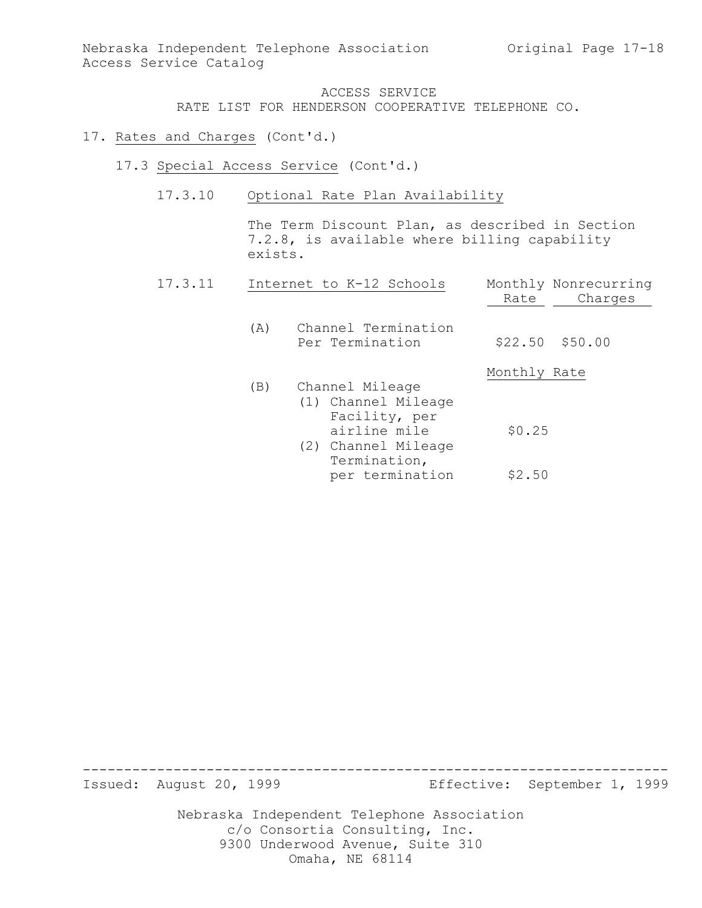### 17. Rates and Charges (Cont'd.)

- 17.3 Special Access Service (Cont'd.)
	- 17.3.10 Optional Rate Plan Availability

The Term Discount Plan, as described in Section 7.2.8, is available where billing capability exists.

| 17.3.11 |     | Internet to K-12 Schools                                                                                       | Rate         | Monthly Nonrecurring<br>Charges |
|---------|-----|----------------------------------------------------------------------------------------------------------------|--------------|---------------------------------|
|         | (A) | Channel Termination<br>Per Termination                                                                         |              | $$22.50$ $$50.00$               |
|         |     |                                                                                                                | Monthly Rate |                                 |
|         | (B) | Channel Mileage<br>(1) Channel Mileage<br>Facility, per<br>airline mile<br>(2) Channel Mileage<br>Termination, | \$0.25       |                                 |
|         |     | per termination                                                                                                | \$2.50       |                                 |

Issued: August 20, 1999 Effective: September 1, 1999

Nebraska Independent Telephone Association c/o Consortia Consulting, Inc. 9300 Underwood Avenue, Suite 310 Omaha, NE 68114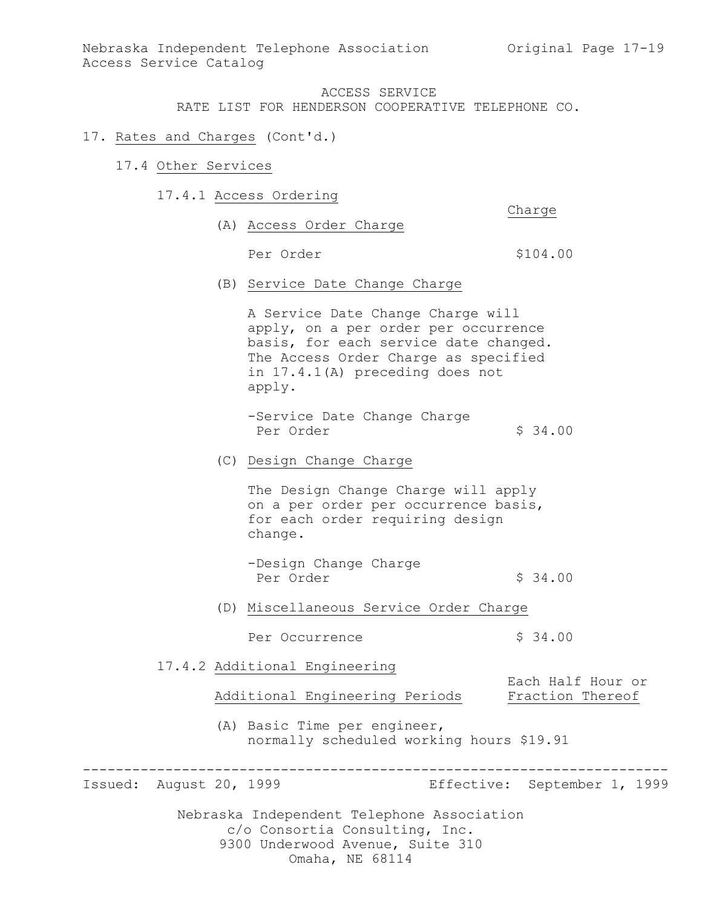Nebraska Independent Telephone Association (Original Page 17-19) Access Service Catalog

### ACCESS SERVICE

RATE LIST FOR HENDERSON COOPERATIVE TELEPHONE CO.

#### 17. Rates and Charges (Cont'd.)

- 17.4 Other Services
	- 17.4.1 Access Ordering

Charge

- (A) Access Order Charge Per Order  $$104.00$
- (B) Service Date Change Charge

A Service Date Change Charge will apply, on a per order per occurrence basis, for each service date changed. The Access Order Charge as specified in 17.4.1(A) preceding does not apply.

-Service Date Change Charge Per Order  $\sim$  \$ 34.00

#### (C) Design Change Charge

The Design Change Charge will apply on a per order per occurrence basis, for each order requiring design change.

-Design Change Charge Per Order  $\begin{array}{ccc} \text{Per} & \text{Per} \end{array}$ 

(D) Miscellaneous Service Order Charge

Per Occurrence  $\frac{1}{2}$  \$ 34.00

17.4.2 Additional Engineering

Additional Engineering Periods Fraction Thereof

(A) Basic Time per engineer, normally scheduled working hours \$19.91

----------------------------------------------------------------------- Issued: August 20, 1999 Effective: September 1, 1999

Each Half Hour or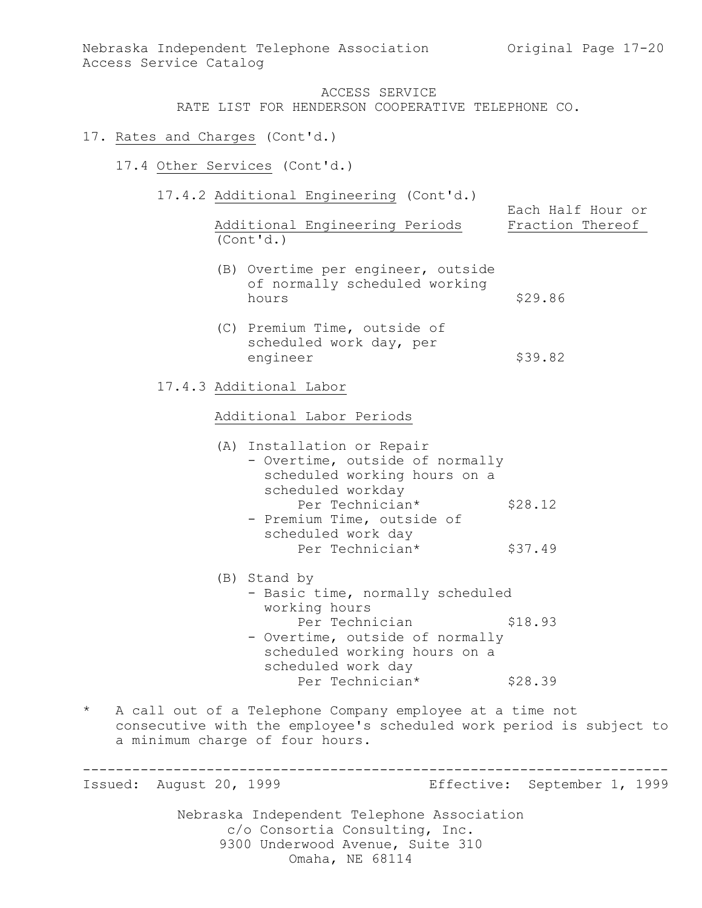Nebraska Independent Telephone Association (Original Page 17-20) Access Service Catalog

# ACCESS SERVICE

RATE LIST FOR HENDERSON COOPERATIVE TELEPHONE CO.

#### 17. Rates and Charges (Cont'd.)

- 17.4 Other Services (Cont'd.)
	- 17.4.2 Additional Engineering (Cont'd.)

|                                | Each Half Hour or |
|--------------------------------|-------------------|
| Additional Engineering Periods | Fraction Thereof  |
| (Cont'd.)                      |                   |

- (B) Overtime per engineer, outside of normally scheduled working hours \$29.86
- (C) Premium Time, outside of scheduled work day, per engineer \$39.82
- 17.4.3 Additional Labor

#### Additional Labor Periods

| (A) Installation or Repair      |         |  |  |
|---------------------------------|---------|--|--|
| - Overtime, outside of normally |         |  |  |
| scheduled working hours on a    |         |  |  |
| scheduled workday               |         |  |  |
| Per Technician*                 | \$28.12 |  |  |
| - Pramium Tima outside of       |         |  |  |

- Premium Time, outside of scheduled work day Peduled work day<br>Per Technician\* \$37.49
- (B) Stand by - Basic time, normally scheduled working hours Per Technician \$18.93 - Overtime, outside of normally scheduled working hours on a scheduled work day Per Technician\* \$28.39
- \* A call out of a Telephone Company employee at a time not consecutive with the employee's scheduled work period is subject to a minimum charge of four hours.

Nebraska Independent Telephone Association c/o Consortia Consulting, Inc. 9300 Underwood Avenue, Suite 310 ----------------------------------------------------------------------- Issued: August 20, 1999 Effective: September 1, 1999

Omaha, NE 68114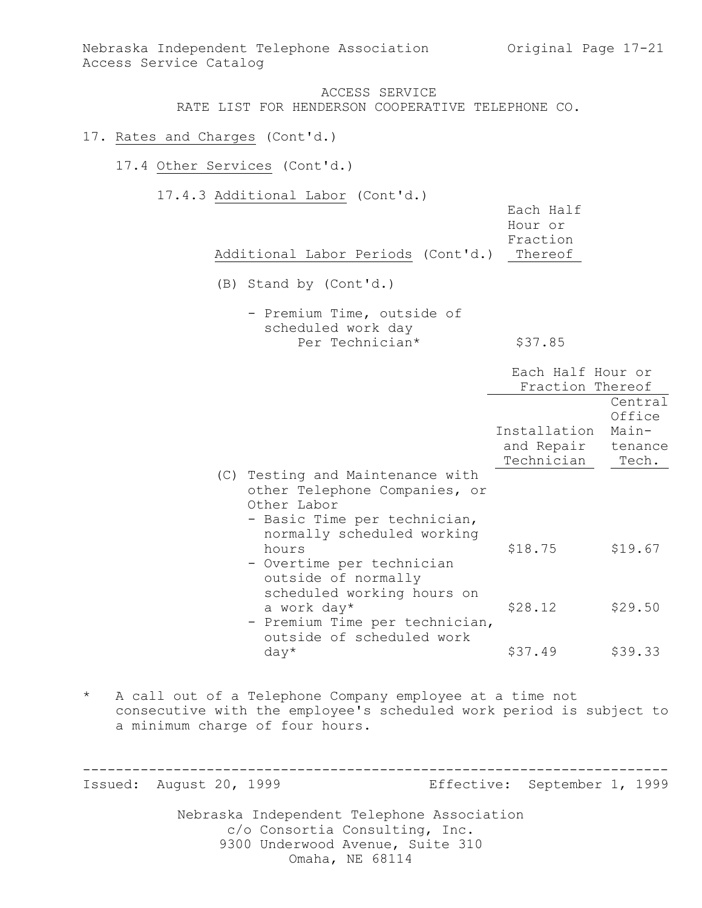Nebraska Independent Telephone Association (Original Page 17-21) Access Service Catalog

#### ACCESS SERVICE RATE LIST FOR HENDERSON COOPERATIVE TELEPHONE CO.

### 17. Rates and Charges (Cont'd.)

- 17.4 Other Services (Cont'd.)
	- 17.4.3 Additional Labor (Cont'd.)

|                                            |  | Each Half |
|--------------------------------------------|--|-----------|
|                                            |  | Hour or   |
|                                            |  | Fraction  |
| Additional Labor Periods (Cont'd.) Thereof |  |           |

- (B) Stand by (Cont'd.)
	- Premium Time, outside of scheduled work day Per Technician\*  $$37.85$

|     |                                                                                                                                            | Each Half Hour or<br>Fraction Thereof    |                                                |
|-----|--------------------------------------------------------------------------------------------------------------------------------------------|------------------------------------------|------------------------------------------------|
|     |                                                                                                                                            | Installation<br>and Repair<br>Technician | Central<br>Office<br>Main-<br>tenance<br>Tech. |
| (C) | Testing and Maintenance with<br>other Telephone Companies, or<br>Other Labor<br>- Basic Time per technician,<br>normally scheduled working |                                          |                                                |
|     | hours<br>- Overtime per technician<br>outside of normally<br>scheduled working hours on                                                    | \$18.75                                  | \$19.67                                        |
|     | a work day*<br>- Premium Time per technician,<br>outside of scheduled work                                                                 | \$28.12                                  | \$29.50                                        |
|     | $day*$                                                                                                                                     | \$37.49                                  | \$39.33                                        |

\* A call out of a Telephone Company employee at a time not consecutive with the employee's scheduled work period is subject to a minimum charge of four hours.

Nebraska Independent Telephone Association c/o Consortia Consulting, Inc. ----------------------------------------------------------------------- Issued: August 20, 1999 Effective: September 1, 1999

9300 Underwood Avenue, Suite 310

Omaha, NE 68114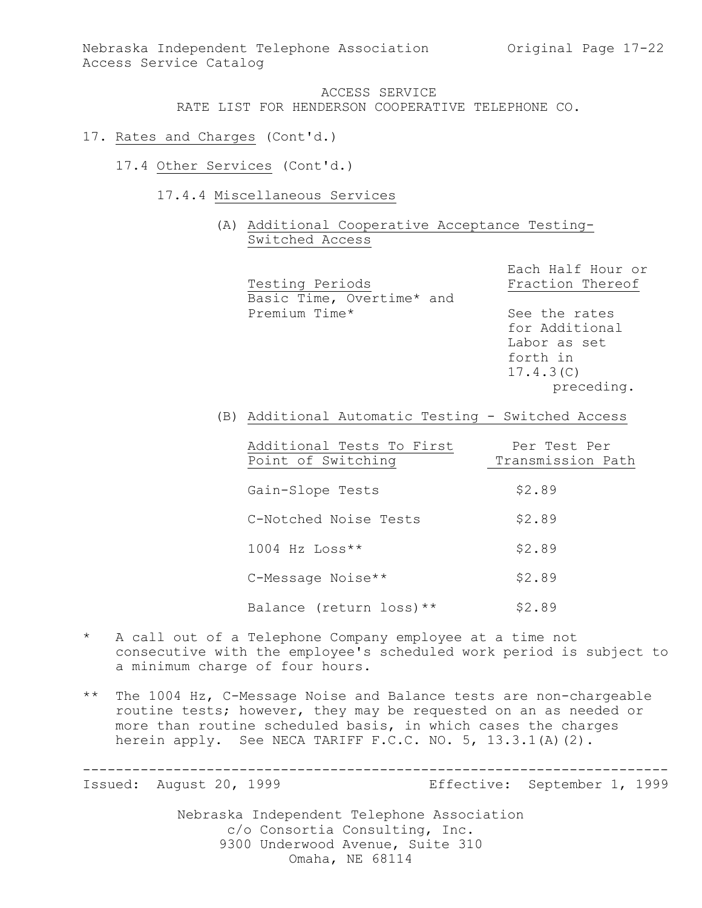# 17. Rates and Charges (Cont'd.)

- 17.4 Other Services (Cont'd.)
	- 17.4.4 Miscellaneous Services
		- (A) Additional Cooperative Acceptance Testing-Switched Access

Each Half Hour or Testing Periods Fraction Thereof Basic Time, Overtime\* and Premium Time\* See the rates for Additional Labor as set forth in 17.4.3(C) preceding.

(B) Additional Automatic Testing - Switched Access

| Additional Tests To First | Per Test Per      |
|---------------------------|-------------------|
| Point of Switching        | Transmission Path |
|                           |                   |
| Gain-Slope Tests          | \$2.89            |
| C-Notched Noise Tests     | \$2.89            |
| $1004$ Hz Loss**          | \$2.89            |
| C-Message Noise**         | \$2.89            |
| Balance (return loss) **  | \$2.89            |

- \* A call out of a Telephone Company employee at a time not consecutive with the employee's scheduled work period is subject to a minimum charge of four hours.
- \*\* The 1004 Hz, C-Message Noise and Balance tests are non-chargeable routine tests; however, they may be requested on an as needed or more than routine scheduled basis, in which cases the charges herein apply. See NECA TARIFF F.C.C. NO. 5, 13.3.1(A)(2).

----------------------------------------------------------------------- Issued: August 20, 1999 Effective: September 1, 1999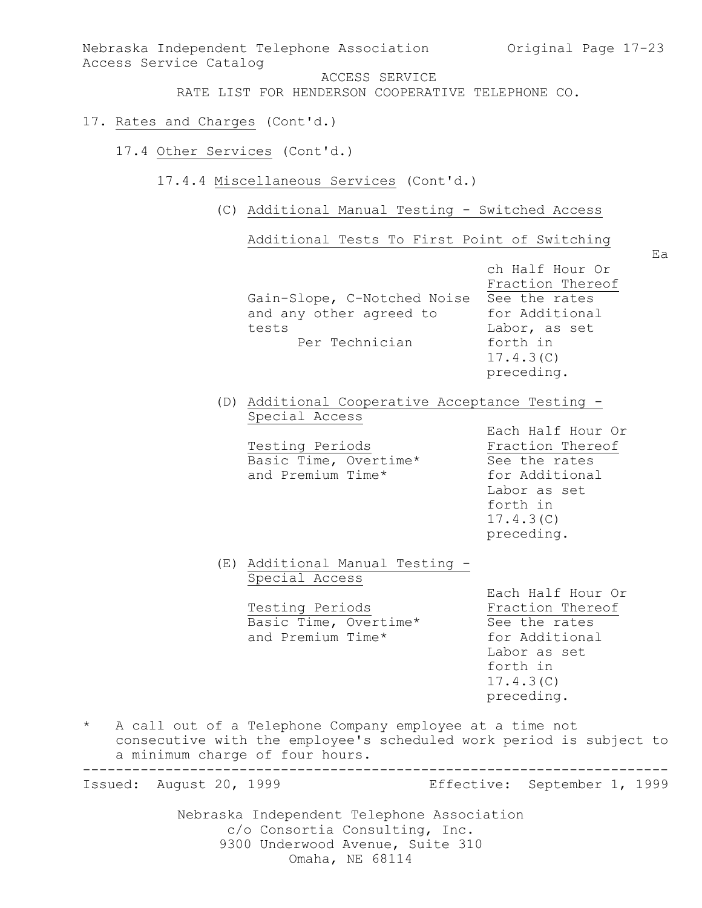Nebraska Independent Telephone Association c/o Consortia Consulting, Inc. Nebraska Independent Telephone Association (Original Page 17-23) Access Service Catalog ACCESS SERVICE RATE LIST FOR HENDERSON COOPERATIVE TELEPHONE CO. 17. Rates and Charges (Cont'd.) 17.4 Other Services (Cont'd.) 17.4.4 Miscellaneous Services (Cont'd.) (C) Additional Manual Testing - Switched Access Additional Tests To First Point of Switching Ea ch Half Hour Or Fraction Thereof Gain-Slope, C-Notched Noise See the rates and any other agreed to for Additional tests Labor, as set Per Technician forth in 17.4.3(C) preceding. (D) Additional Cooperative Acceptance Testing - Special Access Each Half Hour Or Testing Periods **Fraction** Thereof Basic Time, Overtime\* See the rates and Premium Time\* for Additional Labor as set forth in 17.4.3(C) preceding. (E) Additional Manual Testing - Special Access Each Half Hour Or<br>Fraction Thereof Testing Periods **Fraction** Thereof Basic Time, Overtime\* See the rates and Premium Time\* for Additional Labor as set forth in 17.4.3(C) preceding. \* A call out of a Telephone Company employee at a time not consecutive with the employee's scheduled work period is subject to a minimum charge of four hours. ----------------------------------------------------------------------- Issued: August 20, 1999 Effective: September 1, 1999

9300 Underwood Avenue, Suite 310

Omaha, NE 68114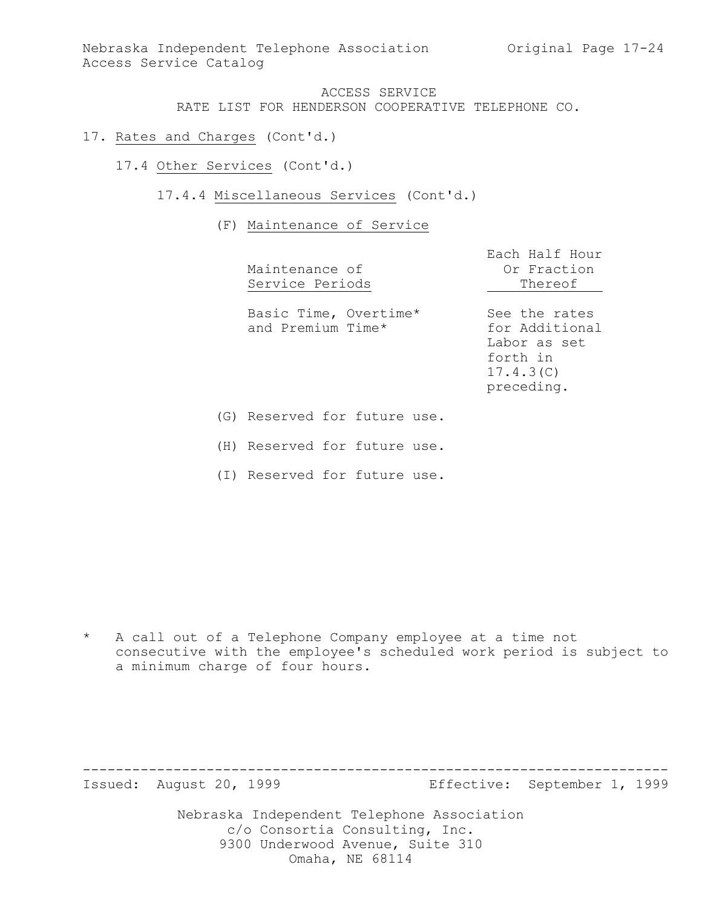Nebraska Independent Telephone Association Original Page 17-24 Access Service Catalog

#### ACCESS SERVICE RATE LIST FOR HENDERSON COOPERATIVE TELEPHONE CO.

- 17. Rates and Charges (Cont'd.)
	- 17.4 Other Services (Cont'd.)
		- 17.4.4 Miscellaneous Services (Cont'd.)

#### (F) Maintenance of Service

|     | Maintenance of<br>Service Periods          | Each Half Hour<br>Or Fraction<br>Thereof                                               |
|-----|--------------------------------------------|----------------------------------------------------------------------------------------|
|     | Basic Time, Overtime*<br>and Premium Time* | See the rates<br>for Additional<br>Labor as set<br>forth in<br>17.4.3(C)<br>preceding. |
| (G) | Reserved for future use.                   |                                                                                        |

(H) Reserved for future use.

(I) Reserved for future use.

\* A call out of a Telephone Company employee at a time not consecutive with the employee's scheduled work period is subject to a minimum charge of four hours.

----------------------------------------------------------------------- Issued: August 20, 1999 Effective: September 1, 1999